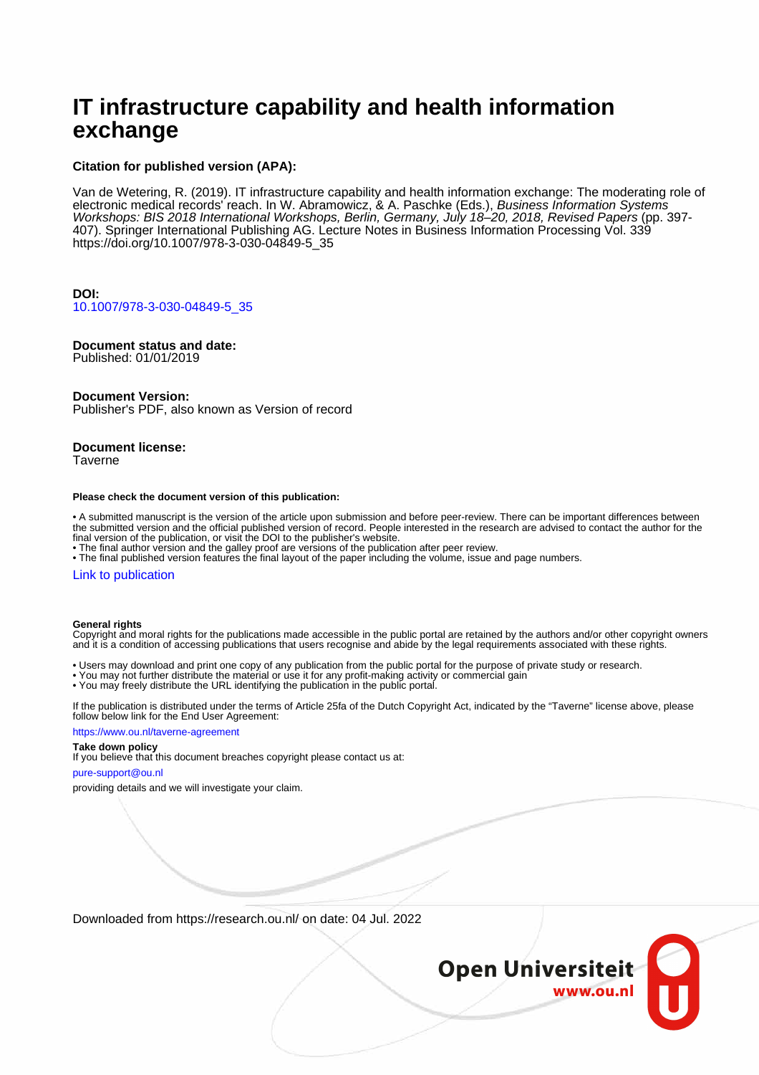# **IT infrastructure capability and health information exchange**

## **Citation for published version (APA):**

Van de Wetering, R. (2019). IT infrastructure capability and health information exchange: The moderating role of electronic medical records' reach. In W. Abramowicz, & A. Paschke (Eds.), Business Information Systems Workshops: BIS 2018 International Workshops, Berlin, Germany, July 18–20, 2018, Revised Papers (pp. 397- 407). Springer International Publishing AG. Lecture Notes in Business Information Processing Vol. 339 [https://doi.org/10.1007/978-3-030-04849-5\\_35](https://doi.org/10.1007/978-3-030-04849-5_35)

## **DOI:** [10.1007/978-3-030-04849-5\\_35](https://doi.org/10.1007/978-3-030-04849-5_35)

## **Document status and date:**

Published: 01/01/2019

#### **Document Version:**

Publisher's PDF, also known as Version of record

## **Document license:**

Taverne

#### **Please check the document version of this publication:**

• A submitted manuscript is the version of the article upon submission and before peer-review. There can be important differences between the submitted version and the official published version of record. People interested in the research are advised to contact the author for the final version of the publication, or visit the DOI to the publisher's website.

• The final author version and the galley proof are versions of the publication after peer review.

• The final published version features the final layout of the paper including the volume, issue and page numbers.

#### [Link to publication](https://research.ou.nl/en/publications/8e03b94a-2204-4ec9-8b56-a11341d06f27)

#### **General rights**

Copyright and moral rights for the publications made accessible in the public portal are retained by the authors and/or other copyright owners and it is a condition of accessing publications that users recognise and abide by the legal requirements associated with these rights.

- Users may download and print one copy of any publication from the public portal for the purpose of private study or research.
- You may not further distribute the material or use it for any profit-making activity or commercial gain
- You may freely distribute the URL identifying the publication in the public portal.

If the publication is distributed under the terms of Article 25fa of the Dutch Copyright Act, indicated by the "Taverne" license above, please follow below link for the End User Agreement:

#### https://www.ou.nl/taverne-agreement

# **Take down policy**

If you believe that this document breaches copyright please contact us at:

#### pure-support@ou.nl

providing details and we will investigate your claim.

Downloaded from https://research.ou.nl/ on date: 04 Jul. 2022

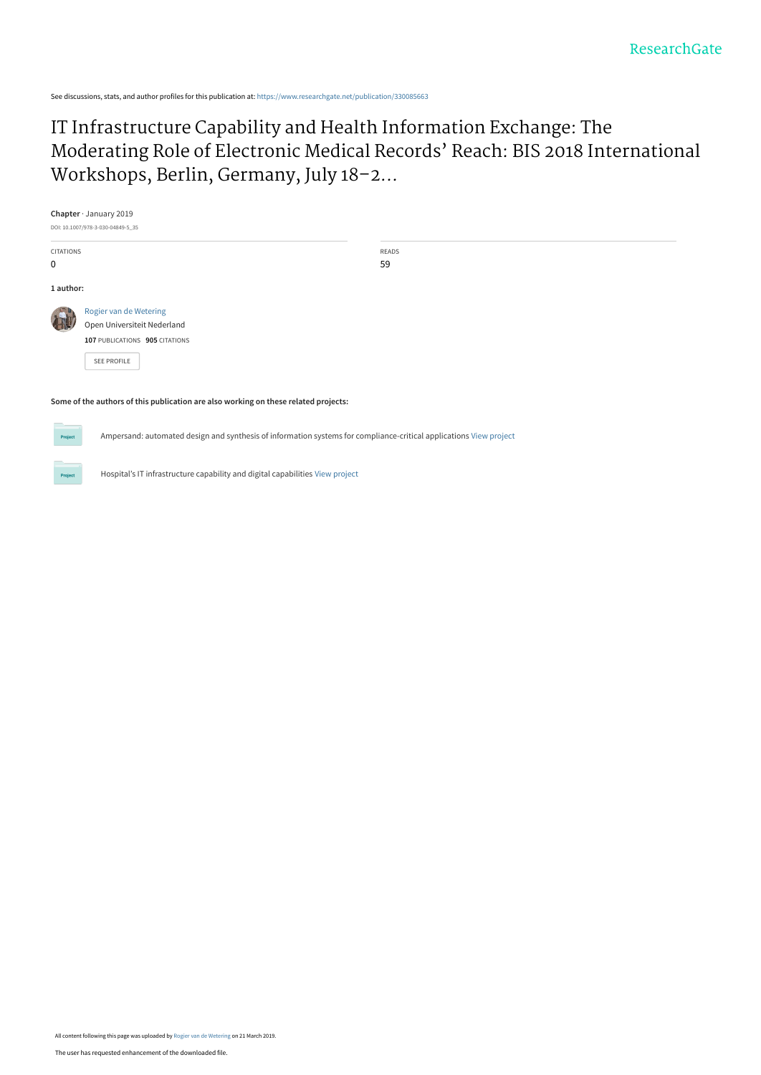See discussions, stats, and author profiles for this publication at: [https://www.researchgate.net/publication/330085663](https://www.researchgate.net/publication/330085663_IT_Infrastructure_Capability_and_Health_Information_Exchange_The_Moderating_Role_of_Electronic_Medical_Records%27_Reach_BIS_2018_International_Workshops_Berlin_Germany_July_18-20_2018_Revised_Papers?enrichId=rgreq-3b4a879571474f6925719d392e3254ba-XXX&enrichSource=Y292ZXJQYWdlOzMzMDA4NTY2MztBUzo3Mzg4MTEwNTUxODE4MjZAMTU1MzE1NzY5MDM0OQ%3D%3D&el=1_x_2&_esc=publicationCoverPdf)

# IT Infrastructure Capability and Health Information Exchange: The [Moderating Role of Electronic Medical Records' Reach: BIS 2018 International](https://www.researchgate.net/publication/330085663_IT_Infrastructure_Capability_and_Health_Information_Exchange_The_Moderating_Role_of_Electronic_Medical_Records%27_Reach_BIS_2018_International_Workshops_Berlin_Germany_July_18-20_2018_Revised_Papers?enrichId=rgreq-3b4a879571474f6925719d392e3254ba-XXX&enrichSource=Y292ZXJQYWdlOzMzMDA4NTY2MztBUzo3Mzg4MTEwNTUxODE4MjZAMTU1MzE1NzY5MDM0OQ%3D%3D&el=1_x_3&_esc=publicationCoverPdf) Workshops, Berlin, Germany, July 18–2...

|                  | Chapter $\cdot$ January 2019                                                        |       |
|------------------|-------------------------------------------------------------------------------------|-------|
|                  | DOI: 10.1007/978-3-030-04849-5 35                                                   |       |
| <b>CITATIONS</b> |                                                                                     | READS |
| $\mathbf 0$      |                                                                                     | 59    |
| 1 author:        |                                                                                     |       |
|                  | Rogier van de Wetering                                                              |       |
|                  | Open Universiteit Nederland                                                         |       |
|                  | 107 PUBLICATIONS 905 CITATIONS                                                      |       |
|                  | SEE PROFILE                                                                         |       |
|                  |                                                                                     |       |
|                  | Some of the authors of this publication are also working on these related projects: |       |

Ampersand: automated design and synthesis of information systems for compliance-critical applications [View project](https://www.researchgate.net/project/Ampersand-automated-design-and-synthesis-of-information-systems-for-compliance-critical-applications?enrichId=rgreq-3b4a879571474f6925719d392e3254ba-XXX&enrichSource=Y292ZXJQYWdlOzMzMDA4NTY2MztBUzo3Mzg4MTEwNTUxODE4MjZAMTU1MzE1NzY5MDM0OQ%3D%3D&el=1_x_9&_esc=publicationCoverPdf)

Hospital's IT infrastructure capability and digital capabilities [View project](https://www.researchgate.net/project/Hospitals-IT-infrastructure-capability-and-digital-capabilities?enrichId=rgreq-3b4a879571474f6925719d392e3254ba-XXX&enrichSource=Y292ZXJQYWdlOzMzMDA4NTY2MztBUzo3Mzg4MTEwNTUxODE4MjZAMTU1MzE1NzY5MDM0OQ%3D%3D&el=1_x_9&_esc=publicationCoverPdf)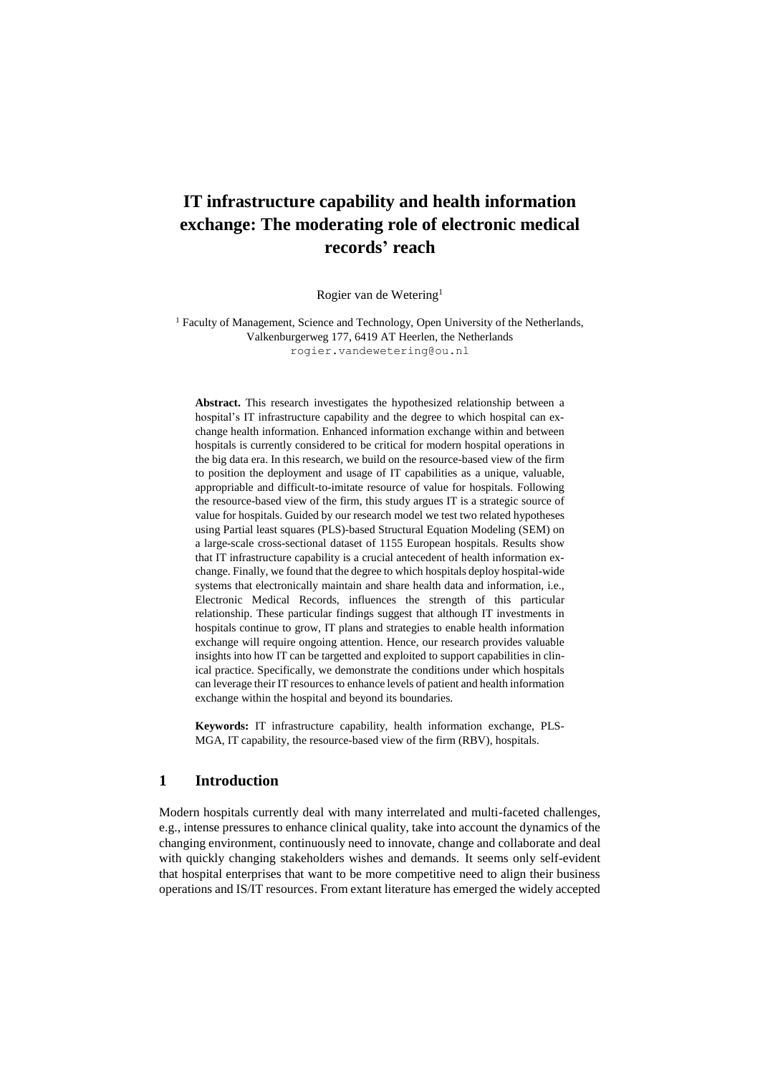# **IT infrastructure capability and health information exchange: The moderating role of electronic medical records' reach**

Rogier van de Wetering<sup>1</sup>

<sup>1</sup> Faculty of Management, Science and Technology, Open University of the Netherlands, Valkenburgerweg 177, 6419 AT Heerlen, the Netherlands rogier.vandewetering@ou.nl

**Abstract.** This research investigates the hypothesized relationship between a hospital's IT infrastructure capability and the degree to which hospital can exchange health information. Enhanced information exchange within and between hospitals is currently considered to be critical for modern hospital operations in the big data era. In this research, we build on the resource-based view of the firm to position the deployment and usage of IT capabilities as a unique, valuable, appropriable and difficult-to-imitate resource of value for hospitals. Following the resource-based view of the firm, this study argues IT is a strategic source of value for hospitals. Guided by our research model we test two related hypotheses using Partial least squares (PLS)-based Structural Equation Modeling (SEM) on a large-scale cross-sectional dataset of 1155 European hospitals. Results show that IT infrastructure capability is a crucial antecedent of health information exchange. Finally, we found that the degree to which hospitals deploy hospital-wide systems that electronically maintain and share health data and information, i.e., Electronic Medical Records, influences the strength of this particular relationship. These particular findings suggest that although IT investments in hospitals continue to grow, IT plans and strategies to enable health information exchange will require ongoing attention. Hence, our research provides valuable insights into how IT can be targetted and exploited to support capabilities in clinical practice. Specifically, we demonstrate the conditions under which hospitals can leverage their IT resources to enhance levels of patient and health information exchange within the hospital and beyond its boundaries.

**Keywords:** IT infrastructure capability, health information exchange, PLS-MGA, IT capability, the resource-based view of the firm (RBV), hospitals.

# **1 Introduction**

Modern hospitals currently deal with many interrelated and multi-faceted challenges, e.g., intense pressures to enhance clinical quality, take into account the dynamics of the changing environment, continuously need to innovate, change and collaborate and deal with quickly changing stakeholders wishes and demands. It seems only self-evident that hospital enterprises that want to be more competitive need to align their business operations and IS/IT resources. From extant literature has emerged the widely accepted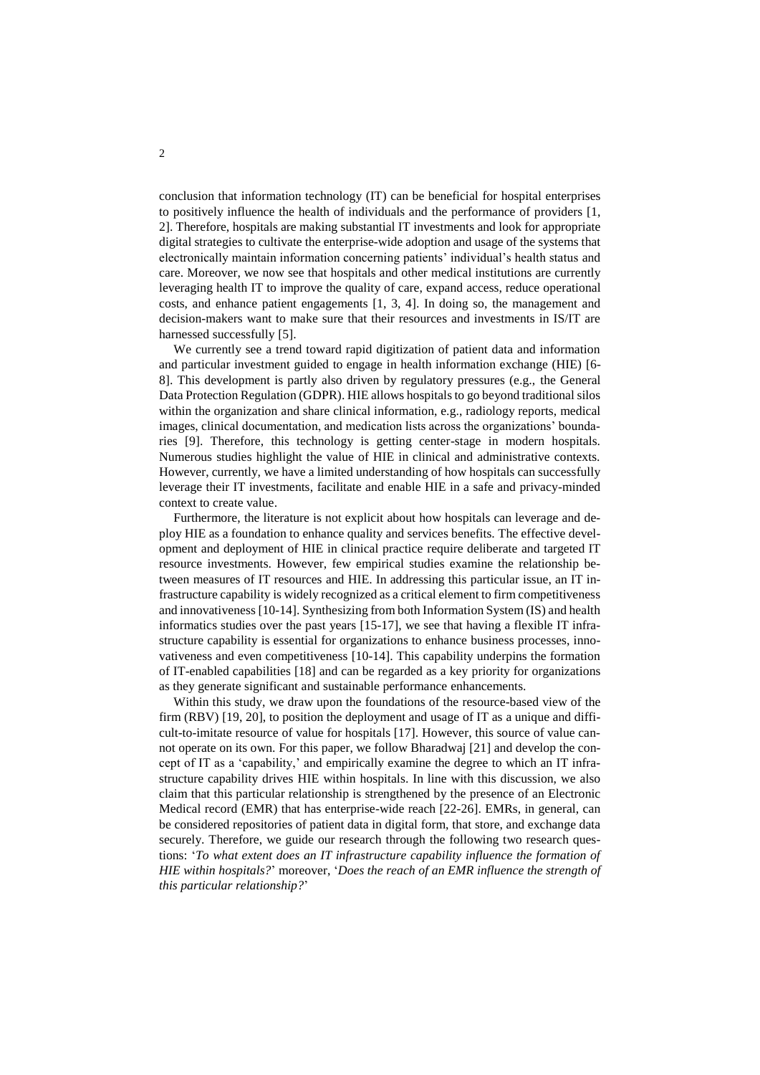conclusion that information technology (IT) can be beneficial for hospital enterprises to positively influence the health of individuals and the performance of providers [1, 2]. Therefore, hospitals are making substantial IT investments and look for appropriate digital strategies to cultivate the enterprise-wide adoption and usage of the systems that electronically maintain information concerning patients' individual's health status and care. Moreover, we now see that hospitals and other medical institutions are currently leveraging health IT to improve the quality of care, expand access, reduce operational costs, and enhance patient engagements [1, 3, 4]. In doing so, the management and decision-makers want to make sure that their resources and investments in IS/IT are harnessed successfully [5].

We currently see a trend toward rapid digitization of patient data and information and particular investment guided to engage in health information exchange (HIE) [6- 8]. This development is partly also driven by regulatory pressures (e.g., the General Data Protection Regulation (GDPR). HIE allows hospitals to go beyond traditional silos within the organization and share clinical information, e.g., radiology reports, medical images, clinical documentation, and medication lists across the organizations' boundaries [9]. Therefore, this technology is getting center-stage in modern hospitals. Numerous studies highlight the value of HIE in clinical and administrative contexts. However, currently, we have a limited understanding of how hospitals can successfully leverage their IT investments, facilitate and enable HIE in a safe and privacy-minded context to create value.

Furthermore, the literature is not explicit about how hospitals can leverage and deploy HIE as a foundation to enhance quality and services benefits. The effective development and deployment of HIE in clinical practice require deliberate and targeted IT resource investments. However, few empirical studies examine the relationship between measures of IT resources and HIE. In addressing this particular issue, an IT infrastructure capability is widely recognized as a critical element to firm competitiveness and innovativeness [10-14]. Synthesizing from both Information System (IS) and health informatics studies over the past years [15-17], we see that having a flexible IT infrastructure capability is essential for organizations to enhance business processes, innovativeness and even competitiveness [10-14]. This capability underpins the formation of IT-enabled capabilities [18] and can be regarded as a key priority for organizations as they generate significant and sustainable performance enhancements.

Within this study, we draw upon the foundations of the resource-based view of the firm (RBV) [19, 20], to position the deployment and usage of IT as a unique and difficult-to-imitate resource of value for hospitals [17]. However, this source of value cannot operate on its own. For this paper, we follow Bharadwaj [21] and develop the concept of IT as a 'capability,' and empirically examine the degree to which an IT infrastructure capability drives HIE within hospitals. In line with this discussion, we also claim that this particular relationship is strengthened by the presence of an Electronic Medical record (EMR) that has enterprise-wide reach [22-26]. EMRs, in general, can be considered repositories of patient data in digital form, that store, and exchange data securely. Therefore, we guide our research through the following two research questions: '*To what extent does an IT infrastructure capability influence the formation of HIE within hospitals?*' moreover, '*Does the reach of an EMR influence the strength of this particular relationship?*'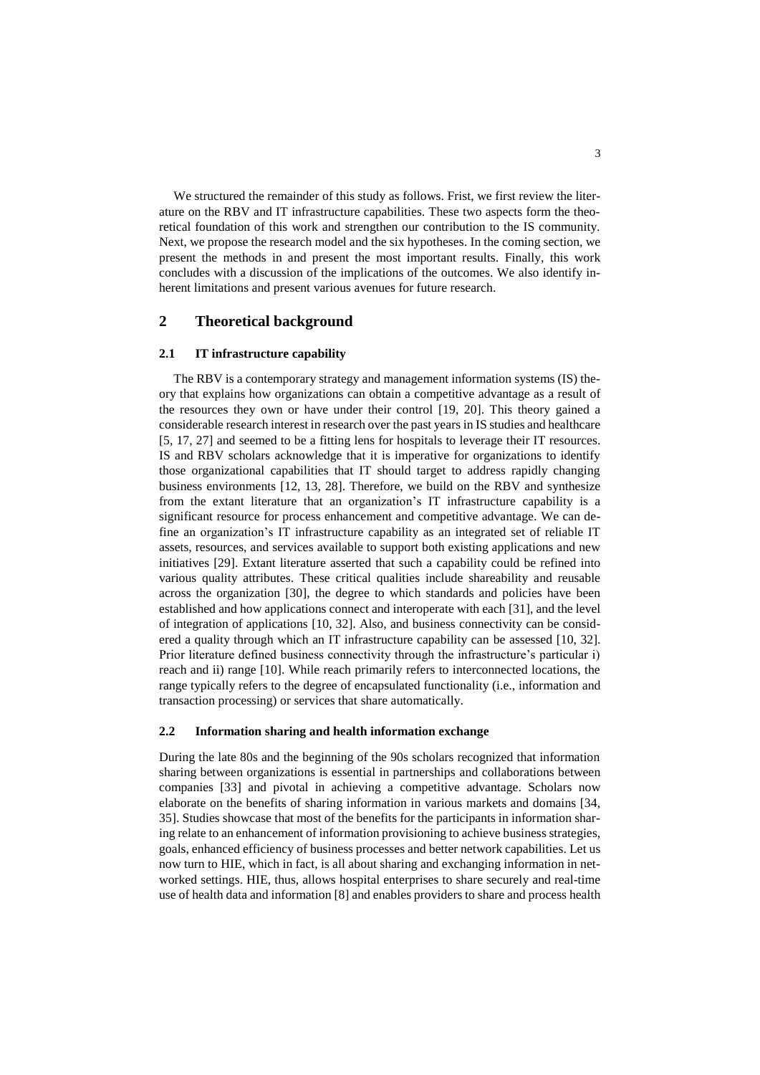We structured the remainder of this study as follows. Frist, we first review the literature on the RBV and IT infrastructure capabilities. These two aspects form the theoretical foundation of this work and strengthen our contribution to the IS community. Next, we propose the research model and the six hypotheses. In the coming section, we present the methods in and present the most important results. Finally, this work concludes with a discussion of the implications of the outcomes. We also identify inherent limitations and present various avenues for future research.

## **2 Theoretical background**

#### **2.1 IT infrastructure capability**

The RBV is a contemporary strategy and management information systems (IS) theory that explains how organizations can obtain a competitive advantage as a result of the resources they own or have under their control [19, 20]. This theory gained a considerable research interest in research over the past years in IS studies and healthcare [5, 17, 27] and seemed to be a fitting lens for hospitals to leverage their IT resources. IS and RBV scholars acknowledge that it is imperative for organizations to identify those organizational capabilities that IT should target to address rapidly changing business environments [12, 13, 28]. Therefore, we build on the RBV and synthesize from the extant literature that an organization's IT infrastructure capability is a significant resource for process enhancement and competitive advantage. We can define an organization's IT infrastructure capability as an integrated set of reliable IT assets, resources, and services available to support both existing applications and new initiatives [29]. Extant literature asserted that such a capability could be refined into various quality attributes. These critical qualities include shareability and reusable across the organization [30], the degree to which standards and policies have been established and how applications connect and interoperate with each [31], and the level of integration of applications [10, 32]. Also, and business connectivity can be considered a quality through which an IT infrastructure capability can be assessed [10, 32]. Prior literature defined business connectivity through the infrastructure's particular i) reach and ii) range [10]. While reach primarily refers to interconnected locations, the range typically refers to the degree of encapsulated functionality (i.e., information and transaction processing) or services that share automatically.

### **2.2 Information sharing and health information exchange**

During the late 80s and the beginning of the 90s scholars recognized that information sharing between organizations is essential in partnerships and collaborations between companies [33] and pivotal in achieving a competitive advantage. Scholars now elaborate on the benefits of sharing information in various markets and domains [34, 35]. Studies showcase that most of the benefits for the participants in information sharing relate to an enhancement of information provisioning to achieve business strategies, goals, enhanced efficiency of business processes and better network capabilities. Let us now turn to HIE, which in fact, is all about sharing and exchanging information in networked settings. HIE, thus, allows hospital enterprises to share securely and real-time use of health data and information [8] and enables providers to share and process health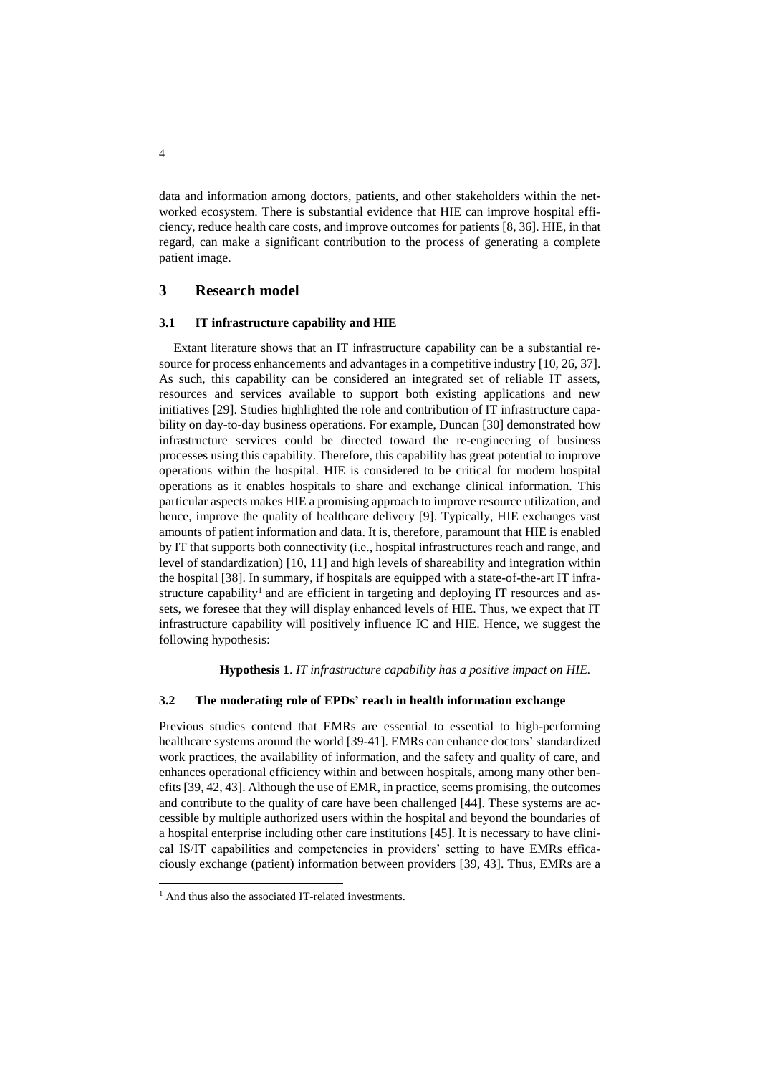data and information among doctors, patients, and other stakeholders within the networked ecosystem. There is substantial evidence that HIE can improve hospital efficiency, reduce health care costs, and improve outcomes for patients [8, 36]. HIE, in that regard, can make a significant contribution to the process of generating a complete patient image.

# **3 Research model**

#### **3.1 IT infrastructure capability and HIE**

Extant literature shows that an IT infrastructure capability can be a substantial resource for process enhancements and advantages in a competitive industry [10, 26, 37]. As such, this capability can be considered an integrated set of reliable IT assets, resources and services available to support both existing applications and new initiatives [29]. Studies highlighted the role and contribution of IT infrastructure capability on day-to-day business operations. For example, Duncan [30] demonstrated how infrastructure services could be directed toward the re-engineering of business processes using this capability. Therefore, this capability has great potential to improve operations within the hospital. HIE is considered to be critical for modern hospital operations as it enables hospitals to share and exchange clinical information. This particular aspects makes HIE a promising approach to improve resource utilization, and hence, improve the quality of healthcare delivery [9]. Typically, HIE exchanges vast amounts of patient information and data. It is, therefore, paramount that HIE is enabled by IT that supports both connectivity (i.e., hospital infrastructures reach and range, and level of standardization) [10, 11] and high levels of shareability and integration within the hospital [38]. In summary, if hospitals are equipped with a state-of-the-art IT infrastructure capability<sup>1</sup> and are efficient in targeting and deploying IT resources and assets, we foresee that they will display enhanced levels of HIE. Thus, we expect that IT infrastructure capability will positively influence IC and HIE. Hence, we suggest the following hypothesis:

**Hypothesis 1**. *IT infrastructure capability has a positive impact on HIE.*

#### **3.2 The moderating role of EPDs' reach in health information exchange**

Previous studies contend that EMRs are essential to essential to high-performing healthcare systems around the world [39-41]. EMRs can enhance doctors' standardized work practices, the availability of information, and the safety and quality of care, and enhances operational efficiency within and between hospitals, among many other benefits [39, 42, 43]. Although the use of EMR, in practice, seems promising, the outcomes and contribute to the quality of care have been challenged [44]. These systems are accessible by multiple authorized users within the hospital and beyond the boundaries of a hospital enterprise including other care institutions [45]. It is necessary to have clinical IS/IT capabilities and competencies in providers' setting to have EMRs efficaciously exchange (patient) information between providers [39, 43]. Thus, EMRs are a

 $\overline{a}$ 

<sup>&</sup>lt;sup>1</sup> And thus also the associated IT-related investments.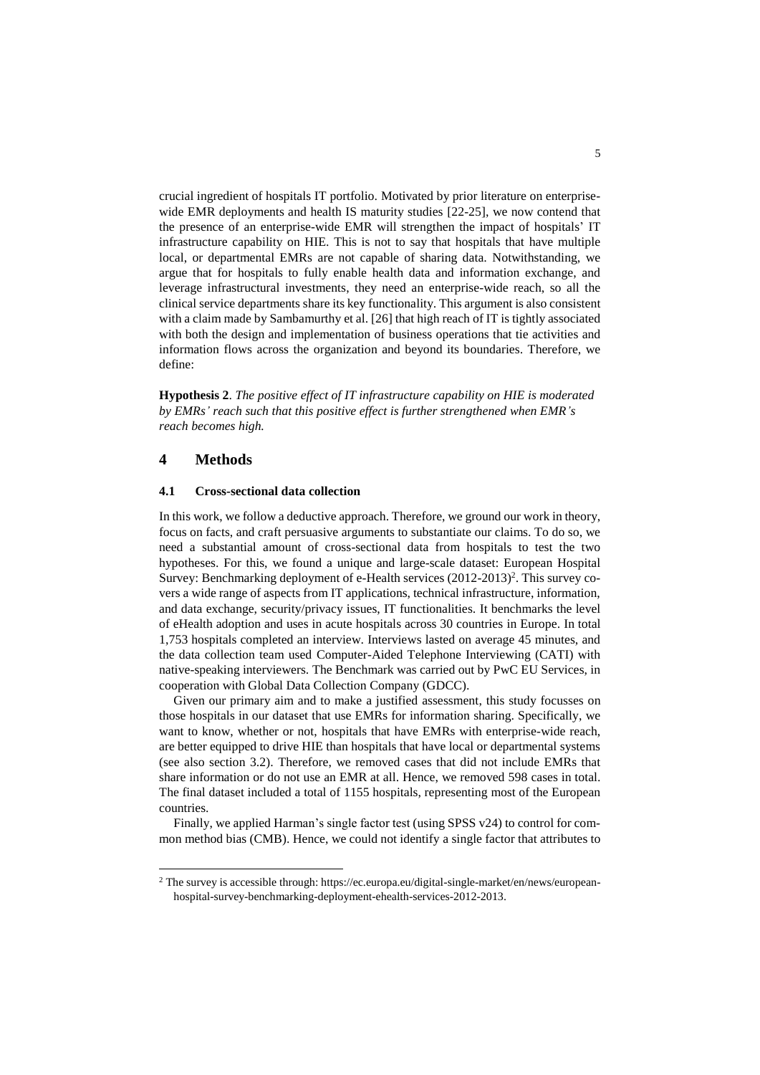crucial ingredient of hospitals IT portfolio. Motivated by prior literature on enterprisewide EMR deployments and health IS maturity studies [22-25], we now contend that the presence of an enterprise-wide EMR will strengthen the impact of hospitals' IT infrastructure capability on HIE. This is not to say that hospitals that have multiple local, or departmental EMRs are not capable of sharing data. Notwithstanding, we argue that for hospitals to fully enable health data and information exchange, and leverage infrastructural investments, they need an enterprise-wide reach, so all the clinical service departments share its key functionality. This argument is also consistent with a claim made by Sambamurthy et al. [26] that high reach of IT is tightly associated with both the design and implementation of business operations that tie activities and information flows across the organization and beyond its boundaries. Therefore, we define:

**Hypothesis 2**. *The positive effect of IT infrastructure capability on HIE is moderated by EMRs' reach such that this positive effect is further strengthened when EMR's reach becomes high.*

# **4 Methods**

 $\overline{a}$ 

#### **4.1 Cross-sectional data collection**

In this work, we follow a deductive approach. Therefore, we ground our work in theory, focus on facts, and craft persuasive arguments to substantiate our claims. To do so, we need a substantial amount of cross-sectional data from hospitals to test the two hypotheses. For this, we found a unique and large-scale dataset: European Hospital Survey: Benchmarking deployment of e-Health services (2012-2013)<sup>2</sup>. This survey covers a wide range of aspects from IT applications, technical infrastructure, information, and data exchange, security/privacy issues, IT functionalities. It benchmarks the level of eHealth adoption and uses in acute hospitals across 30 countries in Europe. In total 1,753 hospitals completed an interview. Interviews lasted on average 45 minutes, and the data collection team used Computer-Aided Telephone Interviewing (CATI) with native-speaking interviewers. The Benchmark was carried out by PwC EU Services, in cooperation with Global Data Collection Company (GDCC).

Given our primary aim and to make a justified assessment, this study focusses on those hospitals in our dataset that use EMRs for information sharing. Specifically, we want to know, whether or not, hospitals that have EMRs with enterprise-wide reach, are better equipped to drive HIE than hospitals that have local or departmental systems (see also section 3.2). Therefore, we removed cases that did not include EMRs that share information or do not use an EMR at all. Hence, we removed 598 cases in total. The final dataset included a total of 1155 hospitals, representing most of the European countries.

Finally, we applied Harman's single factor test (using SPSS v24) to control for common method bias (CMB). Hence, we could not identify a single factor that attributes to

<sup>2</sup> The survey is accessible through: https://ec.europa.eu/digital-single-market/en/news/europeanhospital-survey-benchmarking-deployment-ehealth-services-2012-2013.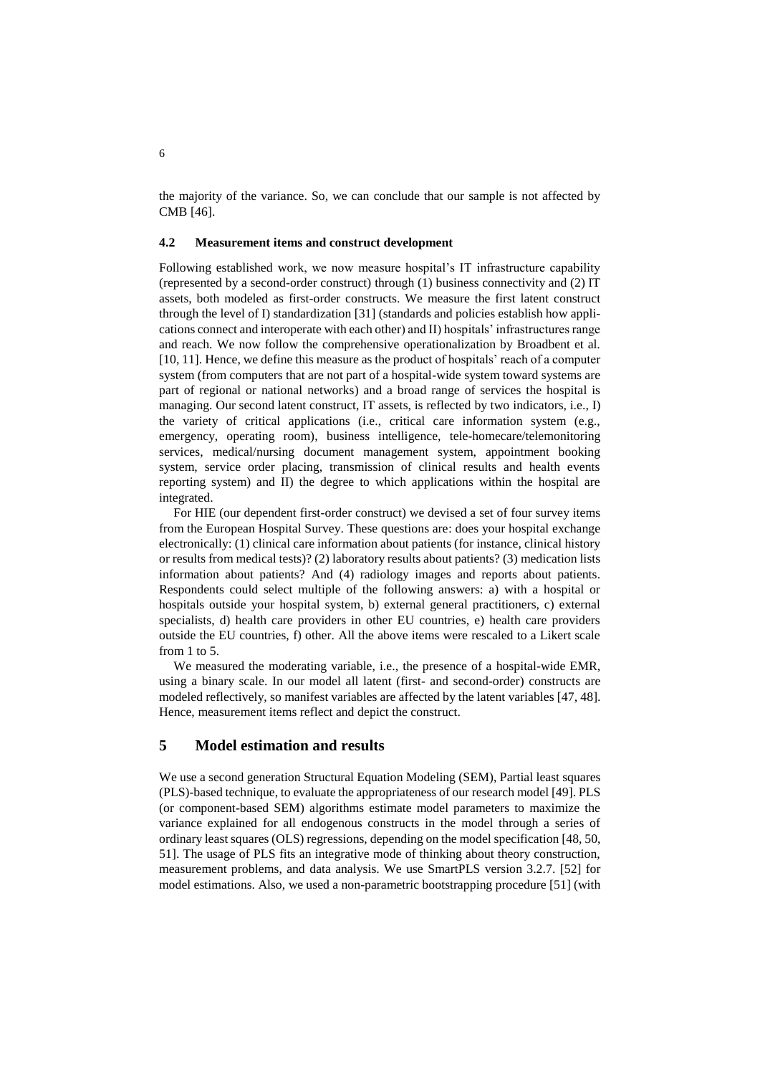the majority of the variance. So, we can conclude that our sample is not affected by CMB [46].

#### **4.2 Measurement items and construct development**

Following established work, we now measure hospital's IT infrastructure capability (represented by a second-order construct) through (1) business connectivity and (2) IT assets, both modeled as first-order constructs. We measure the first latent construct through the level of I) standardization [31] (standards and policies establish how applications connect and interoperate with each other) and II) hospitals' infrastructures range and reach. We now follow the comprehensive operationalization by Broadbent et al. [10, 11]. Hence, we define this measure as the product of hospitals' reach of a computer system (from computers that are not part of a hospital-wide system toward systems are part of regional or national networks) and a broad range of services the hospital is managing. Our second latent construct, IT assets, is reflected by two indicators, i.e., I) the variety of critical applications (i.e., critical care information system (e.g., emergency, operating room), business intelligence, tele-homecare/telemonitoring services, medical/nursing document management system, appointment booking system, service order placing, transmission of clinical results and health events reporting system) and II) the degree to which applications within the hospital are integrated.

For HIE (our dependent first-order construct) we devised a set of four survey items from the European Hospital Survey. These questions are: does your hospital exchange electronically: (1) clinical care information about patients (for instance, clinical history or results from medical tests)? (2) laboratory results about patients? (3) medication lists information about patients? And (4) radiology images and reports about patients. Respondents could select multiple of the following answers: a) with a hospital or hospitals outside your hospital system, b) external general practitioners, c) external specialists, d) health care providers in other EU countries, e) health care providers outside the EU countries, f) other. All the above items were rescaled to a Likert scale from 1 to 5.

We measured the moderating variable, i.e., the presence of a hospital-wide EMR, using a binary scale. In our model all latent (first- and second-order) constructs are modeled reflectively, so manifest variables are affected by the latent variables [47, 48]. Hence, measurement items reflect and depict the construct.

# **5 Model estimation and results**

We use a second generation Structural Equation Modeling (SEM), Partial least squares (PLS)-based technique, to evaluate the appropriateness of our research model [49]. PLS (or component-based SEM) algorithms estimate model parameters to maximize the variance explained for all endogenous constructs in the model through a series of ordinary least squares (OLS) regressions, depending on the model specification [48, 50, 51]. The usage of PLS fits an integrative mode of thinking about theory construction, measurement problems, and data analysis. We use SmartPLS version 3.2.7. [52] for model estimations. Also, we used a non-parametric bootstrapping procedure [51] (with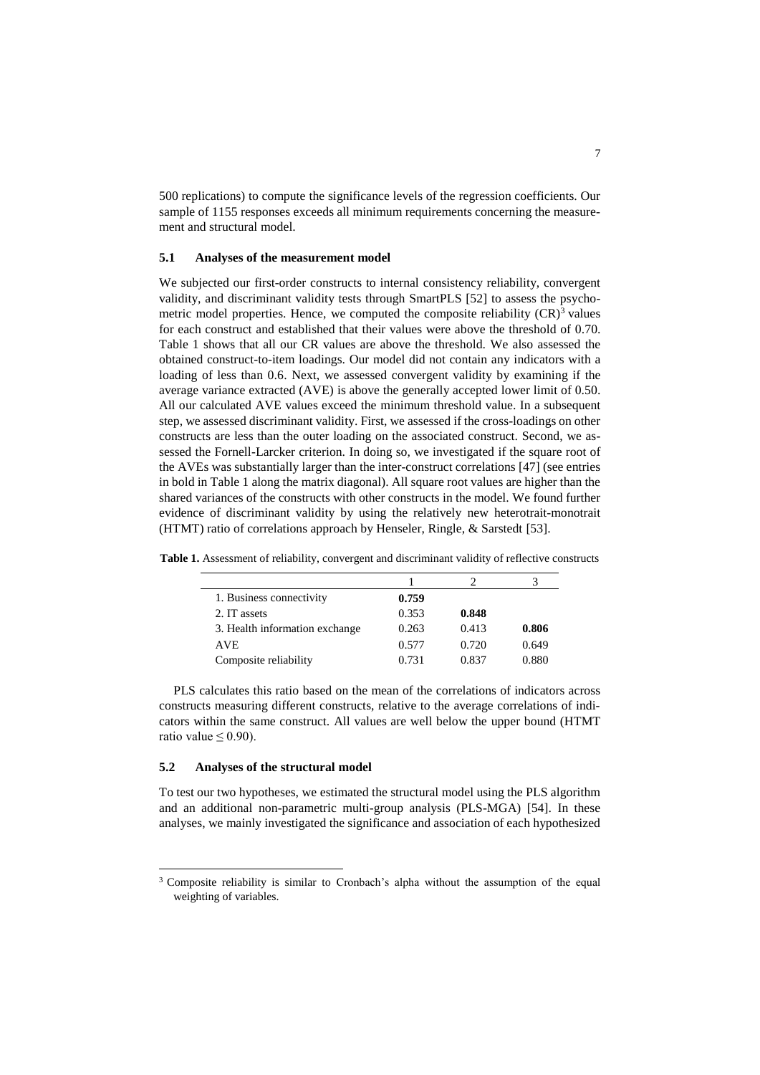500 replications) to compute the significance levels of the regression coefficients. Our sample of 1155 responses exceeds all minimum requirements concerning the measurement and structural model.

## **5.1 Analyses of the measurement model**

We subjected our first-order constructs to internal consistency reliability, convergent validity, and discriminant validity tests through SmartPLS [52] to assess the psychometric model properties. Hence, we computed the composite reliability  $(CR)^3$  values for each construct and established that their values were above the threshold of 0.70. Table 1 shows that all our CR values are above the threshold. We also assessed the obtained construct-to-item loadings. Our model did not contain any indicators with a loading of less than 0.6. Next, we assessed convergent validity by examining if the average variance extracted (AVE) is above the generally accepted lower limit of 0.50. All our calculated AVE values exceed the minimum threshold value. In a subsequent step, we assessed discriminant validity. First, we assessed if the cross-loadings on other constructs are less than the outer loading on the associated construct. Second, we assessed the Fornell-Larcker criterion. In doing so, we investigated if the square root of the AVEs was substantially larger than the inter-construct correlations [47] (see entries in bold in Table 1 along the matrix diagonal). All square root values are higher than the shared variances of the constructs with other constructs in the model. We found further evidence of discriminant validity by using the relatively new heterotrait-monotrait (HTMT) ratio of correlations approach by Henseler, Ringle, & Sarstedt [53].

| 1. Business connectivity       | 0.759 |       |       |
|--------------------------------|-------|-------|-------|
| 2. IT assets                   | 0.353 | 0.848 |       |
| 3. Health information exchange | 0.263 | 0.413 | 0.806 |
| <b>AVE</b>                     | 0.577 | 0.720 | 0.649 |
| Composite reliability          | 0.731 | 0.837 | 0.880 |

**Table 1.** Assessment of reliability, convergent and discriminant validity of reflective constructs

PLS calculates this ratio based on the mean of the correlations of indicators across constructs measuring different constructs, relative to the average correlations of indicators within the same construct. All values are well below the upper bound (HTMT ratio value  $\leq 0.90$ ).

#### **5.2 Analyses of the structural model**

 $\overline{a}$ 

To test our two hypotheses, we estimated the structural model using the PLS algorithm and an additional non-parametric multi-group analysis (PLS-MGA) [54]. In these analyses, we mainly investigated the significance and association of each hypothesized

<sup>&</sup>lt;sup>3</sup> Composite reliability is similar to Cronbach's alpha without the assumption of the equal weighting of variables.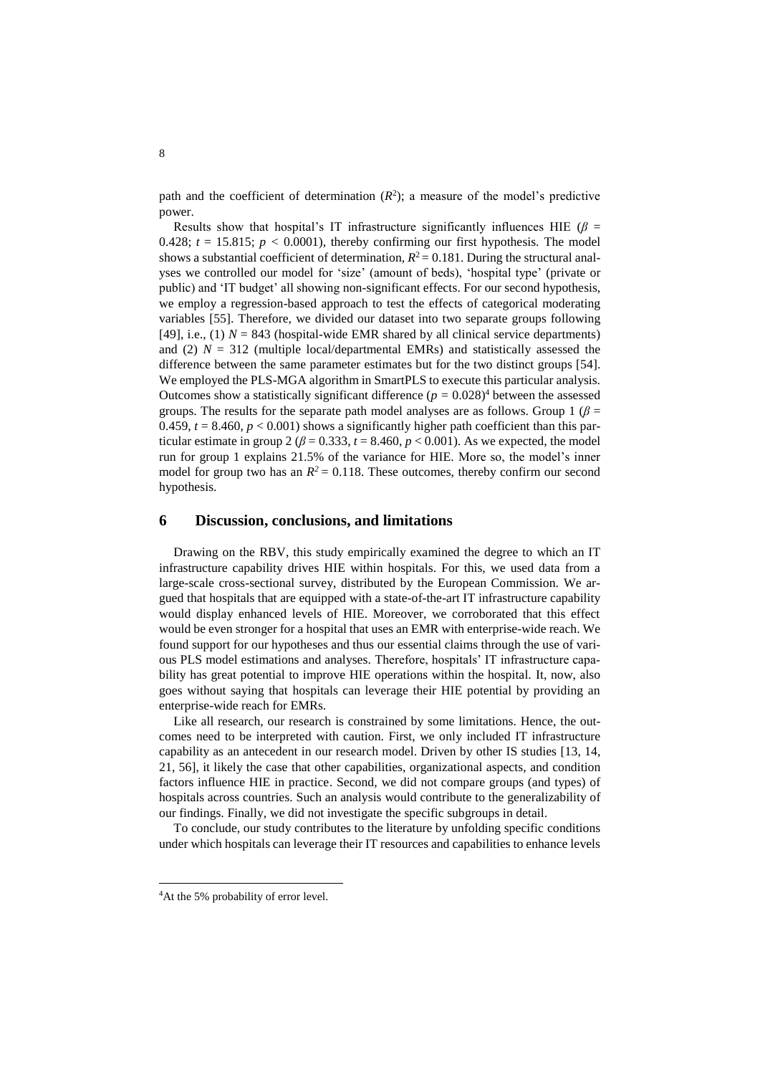path and the coefficient of determination  $(R^2)$ ; a measure of the model's predictive power.

Results show that hospital's IT infrastructure significantly influences HIE ( $\beta$  = 0.428;  $t = 15.815$ ;  $p < 0.0001$ ), thereby confirming our first hypothesis. The model shows a substantial coefficient of determination,  $R^2 = 0.181$ . During the structural analyses we controlled our model for 'size' (amount of beds), 'hospital type' (private or public) and 'IT budget' all showing non-significant effects. For our second hypothesis, we employ a regression-based approach to test the effects of categorical moderating variables [55]. Therefore, we divided our dataset into two separate groups following [49], i.e.,  $(1)$   $N = 843$  (hospital-wide EMR shared by all clinical service departments) and (2)  $N = 312$  (multiple local/departmental EMRs) and statistically assessed the difference between the same parameter estimates but for the two distinct groups [54]. We employed the PLS-MGA algorithm in SmartPLS to execute this particular analysis. Outcomes show a statistically significant difference  $(p = 0.028)^4$  between the assessed groups. The results for the separate path model analyses are as follows. Group 1 ( $\beta$  = 0.459,  $t = 8.460$ ,  $p < 0.001$ ) shows a significantly higher path coefficient than this particular estimate in group 2 ( $\beta$  = 0.333,  $t$  = 8.460,  $p$  < 0.001). As we expected, the model run for group 1 explains 21.5% of the variance for HIE. More so, the model's inner model for group two has an  $R^2 = 0.118$ . These outcomes, thereby confirm our second hypothesis.

### **6 Discussion, conclusions, and limitations**

Drawing on the RBV, this study empirically examined the degree to which an IT infrastructure capability drives HIE within hospitals. For this, we used data from a large-scale cross-sectional survey, distributed by the European Commission. We argued that hospitals that are equipped with a state-of-the-art IT infrastructure capability would display enhanced levels of HIE. Moreover, we corroborated that this effect would be even stronger for a hospital that uses an EMR with enterprise-wide reach. We found support for our hypotheses and thus our essential claims through the use of various PLS model estimations and analyses. Therefore, hospitals' IT infrastructure capability has great potential to improve HIE operations within the hospital. It, now, also goes without saying that hospitals can leverage their HIE potential by providing an enterprise-wide reach for EMRs.

Like all research, our research is constrained by some limitations. Hence, the outcomes need to be interpreted with caution. First, we only included IT infrastructure capability as an antecedent in our research model. Driven by other IS studies [13, 14, 21, 56], it likely the case that other capabilities, organizational aspects, and condition factors influence HIE in practice. Second, we did not compare groups (and types) of hospitals across countries. Such an analysis would contribute to the generalizability of our findings. Finally, we did not investigate the specific subgroups in detail.

To conclude, our study contributes to the literature by unfolding specific conditions under which hospitals can leverage their IT resources and capabilities to enhance levels

 $\overline{a}$ 

<sup>4</sup>At the 5% probability of error level.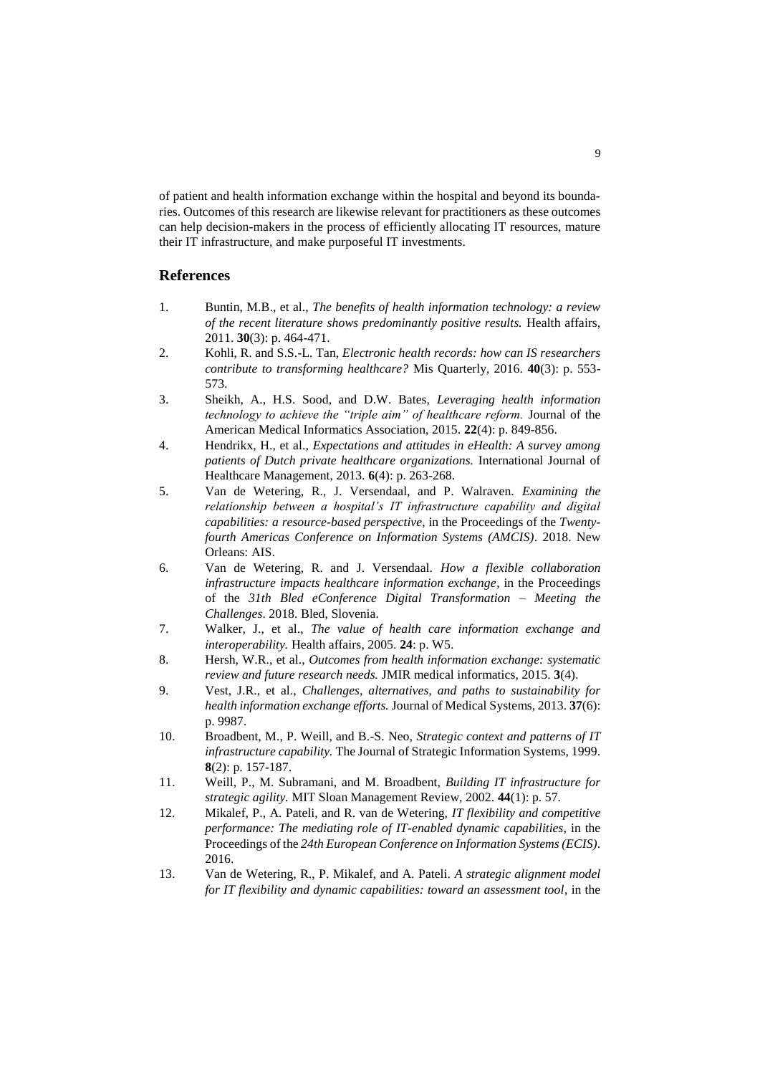of patient and health information exchange within the hospital and beyond its boundaries. Outcomes of this research are likewise relevant for practitioners as these outcomes can help decision-makers in the process of efficiently allocating IT resources, mature their IT infrastructure, and make purposeful IT investments.

## **References**

- 1. Buntin, M.B., et al., *The benefits of health information technology: a review of the recent literature shows predominantly positive results.* Health affairs, 2011. **30**(3): p. 464-471.
- 2. Kohli, R. and S.S.-L. Tan, *Electronic health records: how can IS researchers contribute to transforming healthcare?* Mis Quarterly, 2016. **40**(3): p. 553- 573.
- 3. Sheikh, A., H.S. Sood, and D.W. Bates, *Leveraging health information technology to achieve the "triple aim" of healthcare reform.* Journal of the American Medical Informatics Association, 2015. **22**(4): p. 849-856.
- 4. Hendrikx, H., et al., *Expectations and attitudes in eHealth: A survey among patients of Dutch private healthcare organizations.* International Journal of Healthcare Management, 2013. **6**(4): p. 263-268.
- 5. Van de Wetering, R., J. Versendaal, and P. Walraven. *Examining the relationship between a hospital's IT infrastructure capability and digital capabilities: a resource-based perspective*, in the Proceedings of the *Twentyfourth Americas Conference on Information Systems (AMCIS)*. 2018. New Orleans: AIS.
- 6. Van de Wetering, R. and J. Versendaal. *How a flexible collaboration infrastructure impacts healthcare information exchange*, in the Proceedings of the *31th Bled eConference Digital Transformation – Meeting the Challenges*. 2018. Bled, Slovenia.
- 7. Walker, J., et al., *The value of health care information exchange and interoperability.* Health affairs, 2005. **24**: p. W5.
- 8. Hersh, W.R., et al., *Outcomes from health information exchange: systematic review and future research needs.* JMIR medical informatics, 2015. **3**(4).
- 9. Vest, J.R., et al., *Challenges, alternatives, and paths to sustainability for health information exchange efforts.* Journal of Medical Systems, 2013. **37**(6): p. 9987.
- 10. Broadbent, M., P. Weill, and B.-S. Neo, *Strategic context and patterns of IT infrastructure capability.* The Journal of Strategic Information Systems, 1999. **8**(2): p. 157-187.
- 11. Weill, P., M. Subramani, and M. Broadbent, *Building IT infrastructure for strategic agility.* MIT Sloan Management Review, 2002. **44**(1): p. 57.
- 12. Mikalef, P., A. Pateli, and R. van de Wetering, *IT flexibility and competitive performance: The mediating role of IT-enabled dynamic capabilities*, in the Proceedings of the *24th European Conference on Information Systems (ECIS)*. 2016.
- 13. Van de Wetering, R., P. Mikalef, and A. Pateli. *A strategic alignment model for IT flexibility and dynamic capabilities: toward an assessment tool*, in the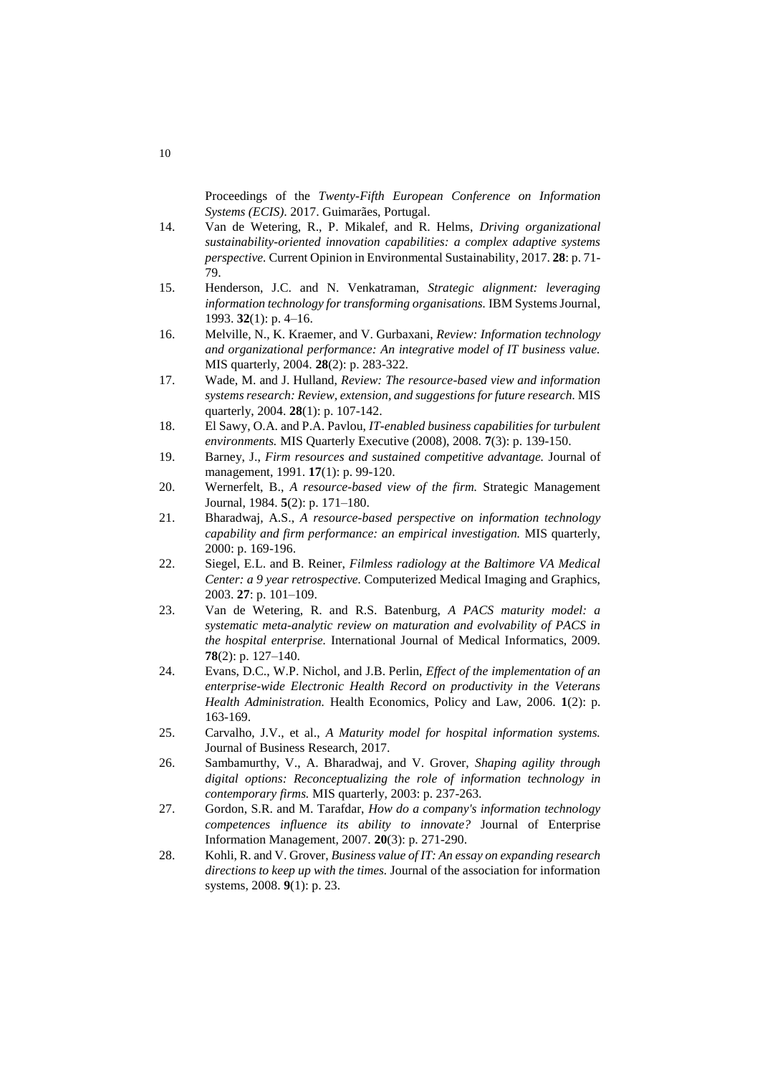Proceedings of the *Twenty-Fifth European Conference on Information Systems (ECIS)*. 2017. Guimarães, Portugal.

- 14. Van de Wetering, R., P. Mikalef, and R. Helms, *Driving organizational sustainability-oriented innovation capabilities: a complex adaptive systems perspective.* Current Opinion in Environmental Sustainability, 2017. **28**: p. 71- 79.
- 15. Henderson, J.C. and N. Venkatraman, *Strategic alignment: leveraging information technology for transforming organisations.* IBM Systems Journal, 1993. **32**(1): p. 4–16.
- 16. Melville, N., K. Kraemer, and V. Gurbaxani, *Review: Information technology and organizational performance: An integrative model of IT business value.* MIS quarterly, 2004. **28**(2): p. 283-322.
- 17. Wade, M. and J. Hulland, *Review: The resource-based view and information systems research: Review, extension, and suggestions for future research.* MIS quarterly, 2004. **28**(1): p. 107-142.
- 18. El Sawy, O.A. and P.A. Pavlou, *IT-enabled business capabilities for turbulent environments.* MIS Quarterly Executive (2008), 2008. **7**(3): p. 139-150.
- 19. Barney, J., *Firm resources and sustained competitive advantage.* Journal of management, 1991. **17**(1): p. 99-120.
- 20. Wernerfelt, B., *A resource-based view of the firm.* Strategic Management Journal, 1984. **5**(2): p. 171–180.
- 21. Bharadwaj, A.S., *A resource-based perspective on information technology capability and firm performance: an empirical investigation.* MIS quarterly, 2000: p. 169-196.
- 22. Siegel, E.L. and B. Reiner, *Filmless radiology at the Baltimore VA Medical Center: a 9 year retrospective.* Computerized Medical Imaging and Graphics, 2003. **27**: p. 101–109.
- 23. Van de Wetering, R. and R.S. Batenburg, *A PACS maturity model: a systematic meta-analytic review on maturation and evolvability of PACS in the hospital enterprise.* International Journal of Medical Informatics, 2009. **78**(2): p. 127–140.
- 24. Evans, D.C., W.P. Nichol, and J.B. Perlin, *Effect of the implementation of an enterprise-wide Electronic Health Record on productivity in the Veterans Health Administration.* Health Economics, Policy and Law, 2006. **1**(2): p. 163-169.
- 25. Carvalho, J.V., et al., *A Maturity model for hospital information systems.* Journal of Business Research, 2017.
- 26. Sambamurthy, V., A. Bharadwaj, and V. Grover, *Shaping agility through digital options: Reconceptualizing the role of information technology in contemporary firms.* MIS quarterly, 2003: p. 237-263.
- 27. Gordon, S.R. and M. Tarafdar, *How do a company's information technology competences influence its ability to innovate?* Journal of Enterprise Information Management, 2007. **20**(3): p. 271-290.
- 28. Kohli, R. and V. Grover, *Business value of IT: An essay on expanding research directions to keep up with the times.* Journal of the association for information systems, 2008. **9**(1): p. 23.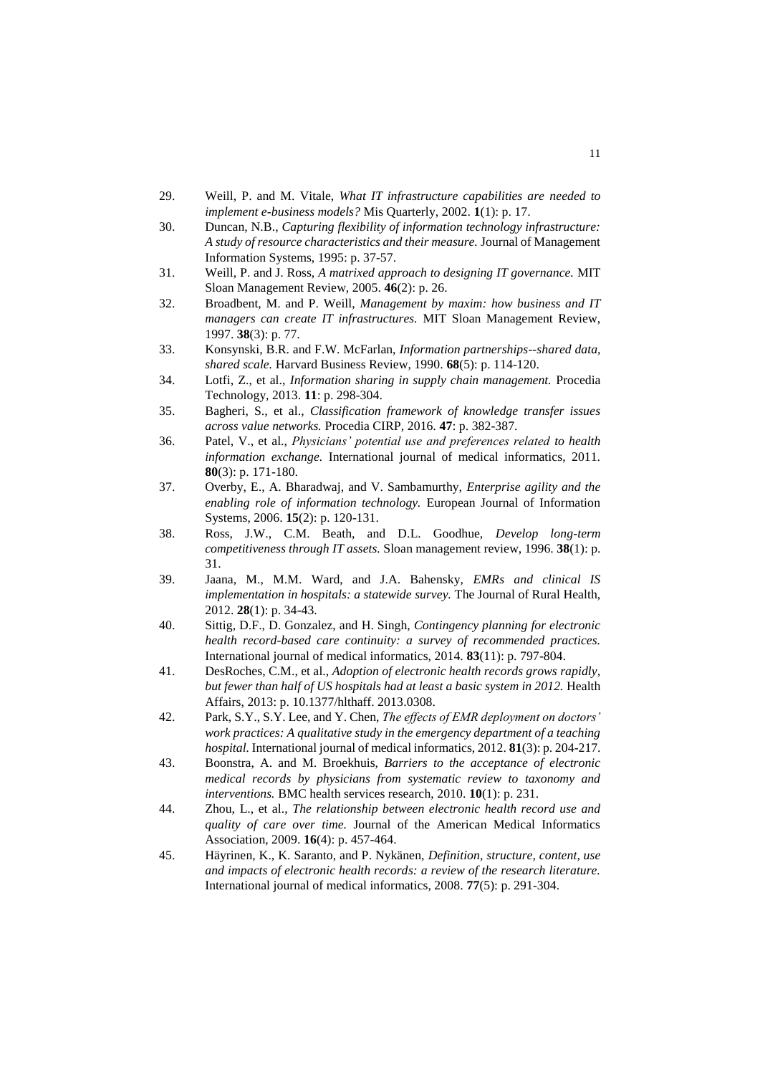- 29. Weill, P. and M. Vitale, *What IT infrastructure capabilities are needed to implement e-business models?* Mis Quarterly, 2002. **1**(1): p. 17.
- 30. Duncan, N.B., *Capturing flexibility of information technology infrastructure: A study of resource characteristics and their measure.* Journal of Management Information Systems, 1995: p. 37-57.
- 31. Weill, P. and J. Ross, *A matrixed approach to designing IT governance.* MIT Sloan Management Review, 2005. **46**(2): p. 26.
- 32. Broadbent, M. and P. Weill, *Management by maxim: how business and IT managers can create IT infrastructures.* MIT Sloan Management Review, 1997. **38**(3): p. 77.
- 33. Konsynski, B.R. and F.W. McFarlan, *Information partnerships--shared data, shared scale.* Harvard Business Review, 1990. **68**(5): p. 114-120.
- 34. Lotfi, Z., et al., *Information sharing in supply chain management.* Procedia Technology, 2013. **11**: p. 298-304.
- 35. Bagheri, S., et al., *Classification framework of knowledge transfer issues across value networks.* Procedia CIRP, 2016. **47**: p. 382-387.
- 36. Patel, V., et al., *Physicians' potential use and preferences related to health information exchange.* International journal of medical informatics, 2011. **80**(3): p. 171-180.
- 37. Overby, E., A. Bharadwaj, and V. Sambamurthy, *Enterprise agility and the enabling role of information technology.* European Journal of Information Systems, 2006. **15**(2): p. 120-131.
- 38. Ross, J.W., C.M. Beath, and D.L. Goodhue, *Develop long-term competitiveness through IT assets.* Sloan management review, 1996. **38**(1): p. 31.
- 39. Jaana, M., M.M. Ward, and J.A. Bahensky, *EMRs and clinical IS implementation in hospitals: a statewide survey.* The Journal of Rural Health, 2012. **28**(1): p. 34-43.
- 40. Sittig, D.F., D. Gonzalez, and H. Singh, *Contingency planning for electronic health record-based care continuity: a survey of recommended practices.* International journal of medical informatics, 2014. **83**(11): p. 797-804.
- 41. DesRoches, C.M., et al., *Adoption of electronic health records grows rapidly, but fewer than half of US hospitals had at least a basic system in 2012.* Health Affairs, 2013: p. 10.1377/hlthaff. 2013.0308.
- 42. Park, S.Y., S.Y. Lee, and Y. Chen, *The effects of EMR deployment on doctors' work practices: A qualitative study in the emergency department of a teaching hospital.* International journal of medical informatics, 2012. **81**(3): p. 204-217.
- 43. Boonstra, A. and M. Broekhuis, *Barriers to the acceptance of electronic medical records by physicians from systematic review to taxonomy and interventions.* BMC health services research, 2010. **10**(1): p. 231.
- 44. Zhou, L., et al., *The relationship between electronic health record use and quality of care over time.* Journal of the American Medical Informatics Association, 2009. **16**(4): p. 457-464.
- 45. Häyrinen, K., K. Saranto, and P. Nykänen, *Definition, structure, content, use and impacts of electronic health records: a review of the research literature.* International journal of medical informatics, 2008. **77**(5): p. 291-304.